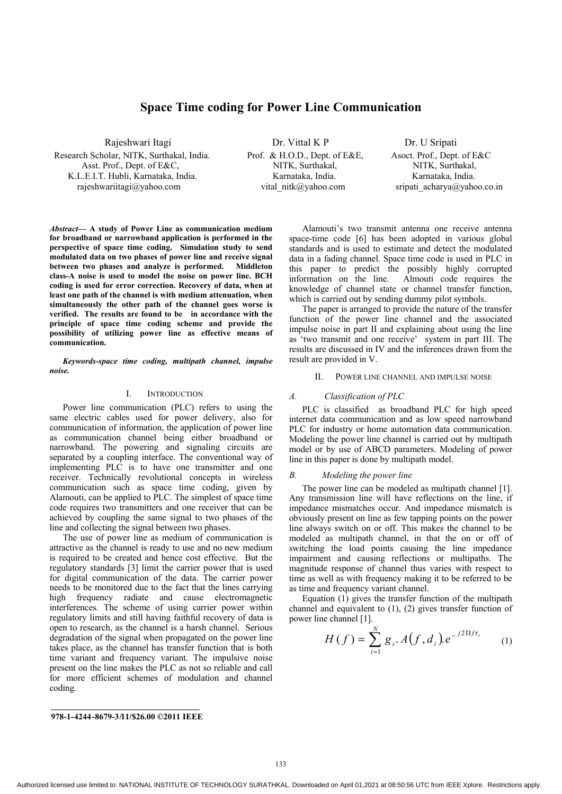# **Space Time coding for Power Line Communication**

Asst. Prof., Dept. of E&C, NITK, Surthakal, NITK, Surthakal, NITK, Surthakal, K.L.E.I.T. Hubli, Karnataka, India. Karnataka, India. Karnataka, India. Karnataka, India. rajeshwariitagi@yahoo.com vital\_nitk@yahoo.com sripati\_acharya@yahoo.co.in

Rajeshwari Itagi  $\qquad \qquad$  Dr. Vittal K P  $\qquad \qquad$  Dr. U Sripati Research Scholar, NITK, Surthakal, India. Prof. & H.O.D., Dept. of E&E, Asoct. Prof., Dept. of E&C

*Abstract***— A study of Power Line as communication medium for broadband or narrowband application is performed in the perspective of space time coding. Simulation study to send modulated data on two phases of power line and receive signal between two phases and analyze is performed. Middleton class-A noise is used to model the noise on power line. BCH coding is used for error correction. Recovery of data, when at least one path of the channel is with medium attenuation, when simultaneously the other path of the channel goes worse is verified. The results are found to be in accordance with the principle of space time coding scheme and provide the possibility of utilizing power line as effective means of communication.** 

*Keywords-space time coding, multipath channel, impulse noise.* 

## I. INTRODUCTION

Power line communication (PLC) refers to using the same electric cables used for power delivery, also for communication of information, the application of power line as communication channel being either broadband or narrowband. The powering and signaling circuits are separated by a coupling interface. The conventional way of implementing PLC is to have one transmitter and one receiver. Technically revolutional concepts in wireless communication such as space time coding, given by Alamouti, can be applied to PLC. The simplest of space time code requires two transmitters and one receiver that can be achieved by coupling the same signal to two phases of the line and collecting the signal between two phases.

The use of power line as medium of communication is attractive as the channel is ready to use and no new medium is required to be created and hence cost effective. But the regulatory standards [3] limit the carrier power that is used for digital communication of the data. The carrier power needs to be monitored due to the fact that the lines carrying high frequency radiate and cause electromagnetic interferences. The scheme of using carrier power within regulatory limits and still having faithful recovery of data is open to research, as the channel is a harsh channel. Serious degradation of the signal when propagated on the power line takes place, as the channel has transfer function that is both time variant and frequency variant. The impulsive noise present on the line makes the PLC as not so reliable and call for more efficient schemes of modulation and channel coding.

Alamouti's two transmit antenna one receive antenna space-time code [6] has been adopted in various global standards and is used to estimate and detect the modulated data in a fading channel. Space time code is used in PLC in this paper to predict the possibly highly corrupted information on the line. Almouti code requires the Almouti code requires the knowledge of channel state or channel transfer function, which is carried out by sending dummy pilot symbols.

The paper is arranged to provide the nature of the transfer function of the power line channel and the associated impulse noise in part II and explaining about using the line as 'two transmit and one receive' system in part III. The results are discussed in IV and the inferences drawn from the result are provided in V.

## II. POWER LINE CHANNEL AND IMPULSE NOISE

### *A. Classification of PLC*

PLC is classified as broadband PLC for high speed internet data communication and as low speed narrowband PLC for industry or home automation data communication. Modeling the power line channel is carried out by multipath model or by use of ABCD parameters. Modeling of power line in this paper is done by multipath model.

#### *B. Modeling the power line*

The power line can be modeled as multipath channel [1]. Any transmission line will have reflections on the line, if impedance mismatches occur. And impedance mismatch is obviously present on line as few tapping points on the power line always switch on or off. This makes the channel to be modeled as multipath channel, in that the on or off of switching the load points causing the line impedance impairment and causing reflections or multipaths. The magnitude response of channel thus varies with respect to time as well as with frequency making it to be referred to be as time and frequency variant channel.

Equation  $(1)$  gives the transfer function of the multipath channel and equivalent to (1), (2) gives transfer function of power line channel [1].

$$
H(f) = \sum_{i=1}^{N} g_i \cdot A(f, d_i) e^{-j2\Pi f \tau_i}
$$
 (1)

**978-1-4244-8679-3/11/\$26.00 ©2011 IEEE**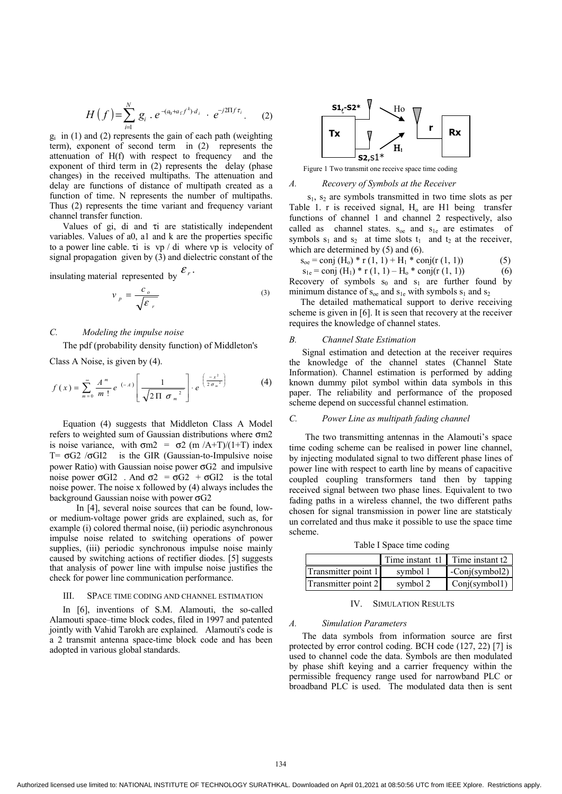$$
H(f) = \sum_{i=1}^{N} g_i \cdot e^{-(a_0 + a_1 f^k) d_i} \cdot e^{-j2\Pi f \tau_i}.
$$
 (2)

 $g_i$  in (1) and (2) represents the gain of each path (weighting term), exponent of second term in (2) represents the attenuation of H(f) with respect to frequency and the exponent of third term in (2) represents the delay (phase changes) in the received multipaths. The attenuation and delay are functions of distance of multipath created as a function of time. N represents the number of multipaths. Thus (2) represents the time variant and frequency variant channel transfer function.

Values of gi, di and τi are statistically independent variables. Values of a0, a1 and k are the properties specific to a power line cable. τi is vp / di where vp is velocity of signal propagation given by  $(3)$  and dielectric constant of the

insulating material represented by  $\mathcal{E}_r$ .

$$
v_p = \frac{c_o}{\sqrt{\varepsilon_r}}
$$
 (3)

## *C. Modeling the impulse noise*

The pdf (probability density function) of Middleton's

Class A Noise, is given by (4).

$$
f(x) = \sum_{m=0}^{\infty} \frac{A^m}{m!} e^{(-A)} \left[ \frac{1}{\sqrt{2 \Pi \sigma_m^2}} \right] \cdot e^{\left( \frac{-x^2}{2 \sigma_m^2} \right)} \tag{4}
$$

Equation (4) suggests that Middleton Class A Model refers to weighted sum of Gaussian distributions where σm2 is noise variance, with  $\sigma m2 = \sigma2$  (m /A+T)/(1+T) index T=  $\sigma$ G2 / $\sigma$ GI2 is the GIR (Gaussian-to-Impulsive noise power Ratio) with Gaussian noise power  $\sigma G2$  and impulsive noise power  $\sigma$ GI2 . And  $\sigma$ 2 =  $\sigma$ G2 +  $\sigma$ GI2 is the total noise power. The noise x followed by (4) always includes the background Gaussian noise with power σG2

 In [4], several noise sources that can be found, lowor medium-voltage power grids are explained, such as, for example (i) colored thermal noise, (ii) periodic asynchronous impulse noise related to switching operations of power supplies, (iii) periodic synchronous impulse noise mainly caused by switching actions of rectifier diodes. [5] suggests that analysis of power line with impulse noise justifies the check for power line communication performance.

#### III. SPACE TIME CODING AND CHANNEL ESTIMATION

In [6], inventions of S.M. Alamouti, the so-called Alamouti space–time block codes, filed in 1997 and patented jointly with Vahid Tarokh are explained. Alamouti's code is a 2 transmit antenna space-time block code and has been adopted in various global standards.



Figure 1 Two transmit one receive space time coding

#### *A. Recovery of Symbols at the Receiver*

 s1, s2 are symbols transmitted in two time slots as per Table 1. r is received signal,  $H_0$  are H1 being transfer functions of channel 1 and channel 2 respectively, also called as channel states.  $s_{oe}$  and  $s_{1e}$  are estimates of symbols  $s_1$  and  $s_2$  at time slots  $t_1$  and  $t_2$  at the receiver, which are determined by (5) and (6).

$$
s_{oe} = \text{conj} (H_o) * r (1, 1) + H_1 * \text{conj} (r (1, 1))
$$
 (5)

 $s_{1e} = \text{conj } (H_1) * r (1, 1) - H_0 * \text{conj}(r (1, 1))$  (6) Recovery of symbols  $s_0$  and  $s_1$  are further found by minimum distance of  $s_{oe}$  and  $s_{1e}$  with symbols  $s_1$  and  $s_2$ 

 The detailed mathematical support to derive receiving scheme is given in [6]. It is seen that recovery at the receiver requires the knowledge of channel states.

## *B. Channel State Estimation*

Signal estimation and detection at the receiver requires the knowledge of the channel states (Channel State Information). Channel estimation is performed by adding known dummy pilot symbol within data symbols in this paper. The reliability and performance of the proposed scheme depend on successful channel estimation.

## *C. Power Line as multipath fading channel*

 The two transmitting antennas in the Alamouti's space time coding scheme can be realised in power line channel, by injecting modulated signal to two different phase lines of power line with respect to earth line by means of capacitive coupled coupling transformers tand then by tapping received signal between two phase lines. Equivalent to two fading paths in a wireless channel, the two different paths chosen for signal transmission in power line are statsticaly un correlated and thus make it possible to use the space time scheme.

Table I Space time coding

|                     |          | Time instant t1 Time instant t2 |
|---------------------|----------|---------------------------------|
| Transmitter point 1 | symbol 1 | $\text{-Conj}(\text{symbol2})$  |
| Transmitter point 2 | symbol 2 | Conj(symbol1)                   |

#### IV. SIMULATION RESULTS

## *A. Simulation Parameters*

The data symbols from information source are first protected by error control coding. BCH code (127, 22) [7] is used to channel code the data. Symbols are then modulated by phase shift keying and a carrier frequency within the permissible frequency range used for narrowband PLC or broadband PLC is used. The modulated data then is sent